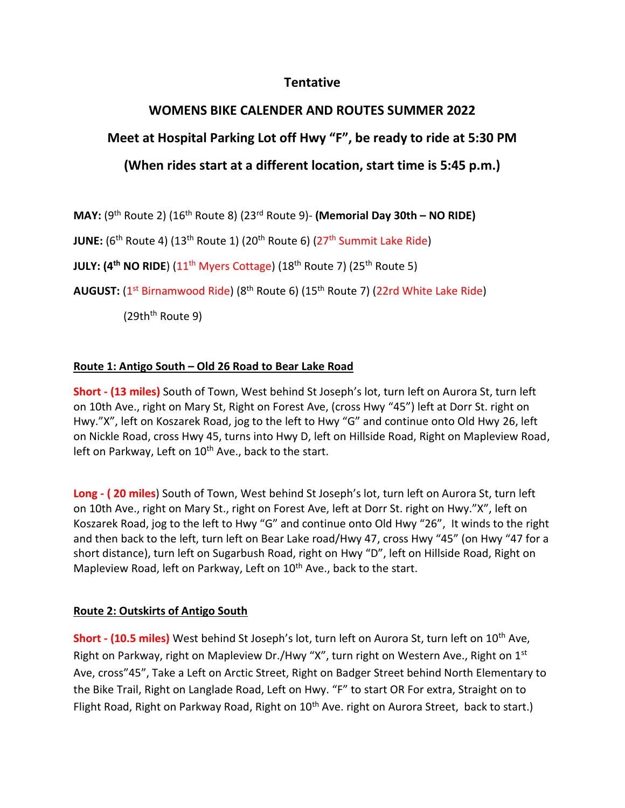## **Tentative**

# **WOMENS BIKE CALENDER AND ROUTES SUMMER 2022**

# **Meet at Hospital Parking Lot off Hwy "F", be ready to ride at 5:30 PM**

## **(When rides start at a different location, start time is 5:45 p.m.)**

**MAY:** (9<sup>th</sup> Route 2) (16<sup>th</sup> Route 8) (23<sup>rd</sup> Route 9)- **(Memorial Day 30th – NO RIDE)** 

**JUNE:** (6<sup>th</sup> Route 4) (13<sup>th</sup> Route 1) (20<sup>th</sup> Route 6) (27<sup>th</sup> Summit Lake Ride)

**JULY: (4<sup>th</sup> NO RIDE**) (11<sup>th</sup> Myers Cottage) (18<sup>th</sup> Route 7) (25<sup>th</sup> Route 5)

**AUGUST:** (1<sup>st</sup> Birnamwood Ride) (8<sup>th</sup> Route 6) (15<sup>th</sup> Route 7) (22rd White Lake Ride)

 $(29th<sup>th</sup>$  Route 9)

## **Route 1: Antigo South – Old 26 Road to Bear Lake Road**

**Short - (13 miles)** South of Town, West behind St Joseph's lot, turn left on Aurora St, turn left on 10th Ave., right on Mary St, Right on Forest Ave, (cross Hwy "45") left at Dorr St. right on Hwy."X", left on Koszarek Road, jog to the left to Hwy "G" and continue onto Old Hwy 26, left on Nickle Road, cross Hwy 45, turns into Hwy D, left on Hillside Road, Right on Mapleview Road, left on Parkway, Left on 10<sup>th</sup> Ave., back to the start.

**Long - ( 20 miles**) South of Town, West behind St Joseph's lot, turn left on Aurora St, turn left on 10th Ave., right on Mary St., right on Forest Ave, left at Dorr St. right on Hwy."X", left on Koszarek Road, jog to the left to Hwy "G" and continue onto Old Hwy "26", It winds to the right and then back to the left, turn left on Bear Lake road/Hwy 47, cross Hwy "45" (on Hwy "47 for a short distance), turn left on Sugarbush Road, right on Hwy "D", left on Hillside Road, Right on Mapleview Road, left on Parkway, Left on 10<sup>th</sup> Ave., back to the start.

## **Route 2: Outskirts of Antigo South**

**Short - (10.5 miles)** West behind St Joseph's lot, turn left on Aurora St, turn left on 10<sup>th</sup> Ave, Right on Parkway, right on Mapleview Dr./Hwy "X", turn right on Western Ave., Right on 1<sup>st</sup> Ave, cross"45", Take a Left on Arctic Street, Right on Badger Street behind North Elementary to the Bike Trail, Right on Langlade Road, Left on Hwy. "F" to start OR For extra, Straight on to Flight Road, Right on Parkway Road, Right on 10<sup>th</sup> Ave. right on Aurora Street, back to start.)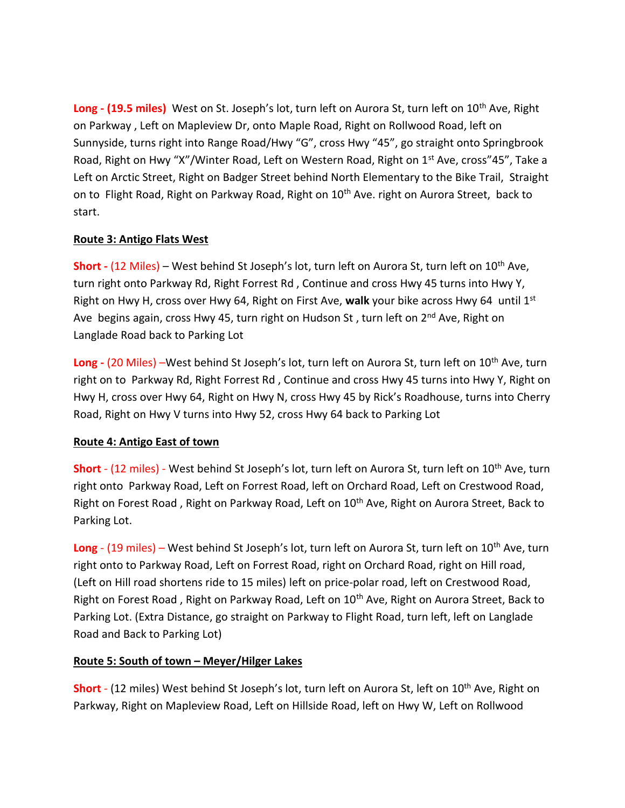**Long - (19.5 miles)** West on St. Joseph's lot, turn left on Aurora St, turn left on 10th Ave, Right on Parkway , Left on Mapleview Dr, onto Maple Road, Right on Rollwood Road, left on Sunnyside, turns right into Range Road/Hwy "G", cross Hwy "45", go straight onto Springbrook Road, Right on Hwy "X"/Winter Road, Left on Western Road, Right on 1<sup>st</sup> Ave, cross"45", Take a Left on Arctic Street, Right on Badger Street behind North Elementary to the Bike Trail, Straight on to Flight Road, Right on Parkway Road, Right on 10<sup>th</sup> Ave. right on Aurora Street, back to start.

#### **Route 3: Antigo Flats West**

**Short -** (12 Miles) – West behind St Joseph's lot, turn left on Aurora St, turn left on 10<sup>th</sup> Ave, turn right onto Parkway Rd, Right Forrest Rd , Continue and cross Hwy 45 turns into Hwy Y, Right on Hwy H, cross over Hwy 64, Right on First Ave, **walk** your bike across Hwy 64 until 1st Ave begins again, cross Hwy 45, turn right on Hudson St, turn left on 2<sup>nd</sup> Ave, Right on Langlade Road back to Parking Lot

Long - (20 Miles) –West behind St Joseph's lot, turn left on Aurora St, turn left on 10<sup>th</sup> Ave, turn right on to Parkway Rd, Right Forrest Rd , Continue and cross Hwy 45 turns into Hwy Y, Right on Hwy H, cross over Hwy 64, Right on Hwy N, cross Hwy 45 by Rick's Roadhouse, turns into Cherry Road, Right on Hwy V turns into Hwy 52, cross Hwy 64 back to Parking Lot

## **Route 4: Antigo East of town**

**Short** - (12 miles) - West behind St Joseph's lot, turn left on Aurora St, turn left on 10<sup>th</sup> Ave, turn right onto Parkway Road, Left on Forrest Road, left on Orchard Road, Left on Crestwood Road, Right on Forest Road, Right on Parkway Road, Left on 10<sup>th</sup> Ave, Right on Aurora Street, Back to Parking Lot.

Long - (19 miles) – West behind St Joseph's lot, turn left on Aurora St, turn left on 10<sup>th</sup> Ave, turn right onto to Parkway Road, Left on Forrest Road, right on Orchard Road, right on Hill road, (Left on Hill road shortens ride to 15 miles) left on price-polar road, left on Crestwood Road, Right on Forest Road, Right on Parkway Road, Left on 10<sup>th</sup> Ave, Right on Aurora Street, Back to Parking Lot. (Extra Distance, go straight on Parkway to Flight Road, turn left, left on Langlade Road and Back to Parking Lot)

## **Route 5: South of town – Meyer/Hilger Lakes**

**Short** - (12 miles) West behind St Joseph's lot, turn left on Aurora St, left on 10<sup>th</sup> Ave, Right on Parkway, Right on Mapleview Road, Left on Hillside Road, left on Hwy W, Left on Rollwood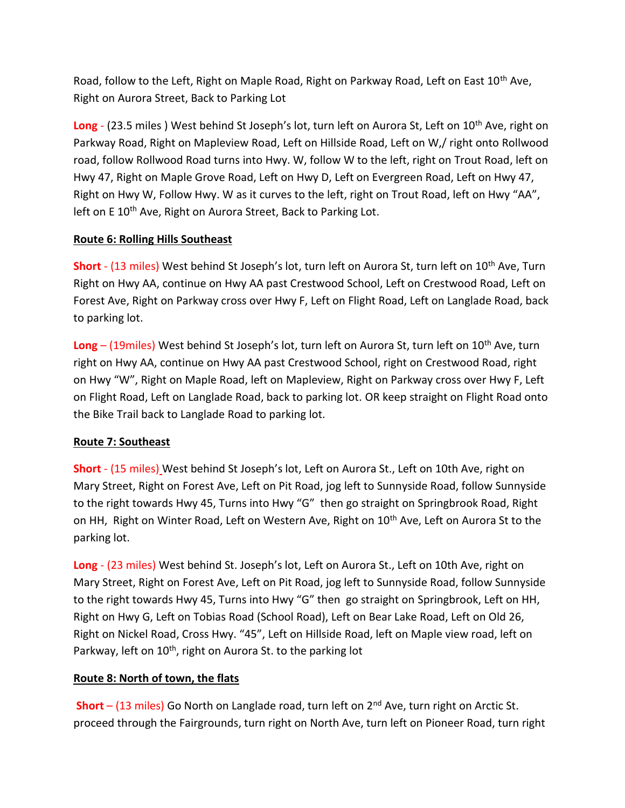Road, follow to the Left, Right on Maple Road, Right on Parkway Road, Left on East  $10^{th}$  Ave, Right on Aurora Street, Back to Parking Lot

**Long** - (23.5 miles) West behind St Joseph's lot, turn left on Aurora St, Left on 10<sup>th</sup> Ave, right on Parkway Road, Right on Mapleview Road, Left on Hillside Road, Left on W,/ right onto Rollwood road, follow Rollwood Road turns into Hwy. W, follow W to the left, right on Trout Road, left on Hwy 47, Right on Maple Grove Road, Left on Hwy D, Left on Evergreen Road, Left on Hwy 47, Right on Hwy W, Follow Hwy. W as it curves to the left, right on Trout Road, left on Hwy "AA", left on E 10<sup>th</sup> Ave, Right on Aurora Street, Back to Parking Lot.

#### **Route 6: Rolling Hills Southeast**

**Short** - (13 miles) West behind St Joseph's lot, turn left on Aurora St, turn left on 10th Ave, Turn Right on Hwy AA, continue on Hwy AA past Crestwood School, Left on Crestwood Road, Left on Forest Ave, Right on Parkway cross over Hwy F, Left on Flight Road, Left on Langlade Road, back to parking lot.

**Long** – (19miles) West behind St Joseph's lot, turn left on Aurora St, turn left on 10th Ave, turn right on Hwy AA, continue on Hwy AA past Crestwood School, right on Crestwood Road, right on Hwy "W", Right on Maple Road, left on Mapleview, Right on Parkway cross over Hwy F, Left on Flight Road, Left on Langlade Road, back to parking lot. OR keep straight on Flight Road onto the Bike Trail back to Langlade Road to parking lot.

#### **Route 7: Southeast**

**Short** - (15 miles) West behind St Joseph's lot, Left on Aurora St., Left on 10th Ave, right on Mary Street, Right on Forest Ave, Left on Pit Road, jog left to Sunnyside Road, follow Sunnyside to the right towards Hwy 45, Turns into Hwy "G" then go straight on Springbrook Road, Right on HH, Right on Winter Road, Left on Western Ave, Right on 10<sup>th</sup> Ave, Left on Aurora St to the parking lot.

**Long** - (23 miles) West behind St. Joseph's lot, Left on Aurora St., Left on 10th Ave, right on Mary Street, Right on Forest Ave, Left on Pit Road, jog left to Sunnyside Road, follow Sunnyside to the right towards Hwy 45, Turns into Hwy "G" then go straight on Springbrook, Left on HH, Right on Hwy G, Left on Tobias Road (School Road), Left on Bear Lake Road, Left on Old 26, Right on Nickel Road, Cross Hwy. "45", Left on Hillside Road, left on Maple view road, left on Parkway, left on 10<sup>th</sup>, right on Aurora St. to the parking lot

## **Route 8: North of town, the flats**

**Short** – (13 miles) Go North on Langlade road, turn left on 2<sup>nd</sup> Ave, turn right on Arctic St. proceed through the Fairgrounds, turn right on North Ave, turn left on Pioneer Road, turn right